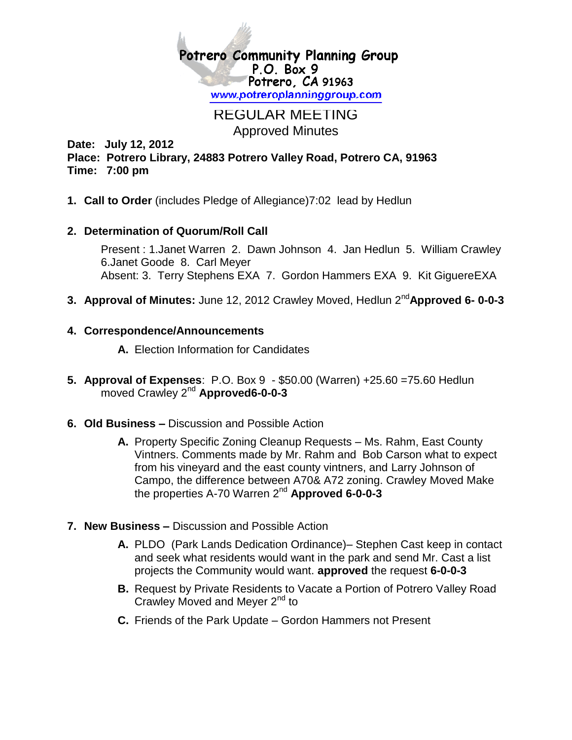

## REGULAR MEETING Approved Minutes

**Date: July 12, 2012 Place: Potrero Library, 24883 Potrero Valley Road, Potrero CA, 91963 Time: 7:00 pm**

**1. Call to Order** (includes Pledge of Allegiance)7:02 lead by Hedlun

## **2. Determination of Quorum/Roll Call**

Present : 1.Janet Warren 2. Dawn Johnson 4. Jan Hedlun 5. William Crawley 6.Janet Goode 8. Carl Meyer Absent: 3. Terry Stephens EXA 7. Gordon Hammers EXA 9. Kit GiguereEXA

**3. Approval of Minutes:** June 12, 2012 Crawley Moved, Hedlun 2nd**Approved 6- 0-0-3**

## **4. Correspondence/Announcements**

**A.** Election Information for Candidates

- **5. Approval of Expenses**: P.O. Box 9 \$50.00 (Warren) +25.60 =75.60 Hedlun moved Crawley 2nd **Approved6-0-0-3**
- **6. Old Business –** Discussion and Possible Action
	- **A.** Property Specific Zoning Cleanup Requests Ms. Rahm, East County Vintners. Comments made by Mr. Rahm and Bob Carson what to expect from his vineyard and the east county vintners, and Larry Johnson of Campo, the difference between A70& A72 zoning. Crawley Moved Make the properties A-70 Warren 2nd **Approved 6-0-0-3**
- **7. New Business –** Discussion and Possible Action
	- **A.** PLDO (Park Lands Dedication Ordinance)– Stephen Cast keep in contact and seek what residents would want in the park and send Mr. Cast a list projects the Community would want. **approved** the request **6-0-0-3**
	- **B.** Request by Private Residents to Vacate a Portion of Potrero Valley Road Crawley Moved and Meyer 2<sup>nd</sup> to
	- **C.** Friends of the Park Update Gordon Hammers not Present